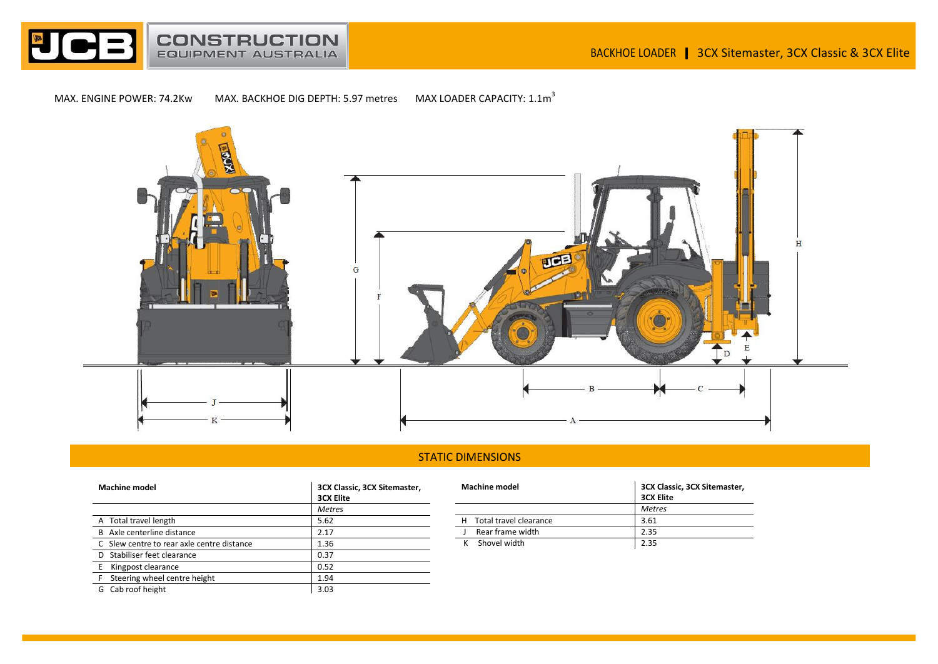

MAX. ENGINE POWER: 74.2Kw MAX. BACKHOE DIG DEPTH: 5.97 metres MAX LOADER CAPACITY:  $1.1\text{m}^3$ 



## STATIC DIMENSIONS

| <b>Machine model</b>                       | 3CX Classic, 3CX Sitemaster,<br><b>3CX Elite</b> |  |
|--------------------------------------------|--------------------------------------------------|--|
|                                            | <b>Metres</b>                                    |  |
| A Total travel length                      | 5.62                                             |  |
| B Axle centerline distance                 | 2.17                                             |  |
| C Slew centre to rear axle centre distance | 1.36                                             |  |
| D Stabiliser feet clearance                | 0.37                                             |  |
| Kingpost clearance                         | 0.52                                             |  |
| Steering wheel centre height               | 1.94                                             |  |
| Cab roof height<br>G                       | 3.03                                             |  |

| <b>Machine model</b> |                          | 3CX Classic, 3CX Sitemaster, |  |
|----------------------|--------------------------|------------------------------|--|
|                      |                          | <b>3CX Elite</b>             |  |
|                      |                          | <b>Metres</b>                |  |
|                      | H Total travel clearance | 3.61                         |  |
|                      | Rear frame width         | 2.35                         |  |
|                      | Shovel width             | 2.35                         |  |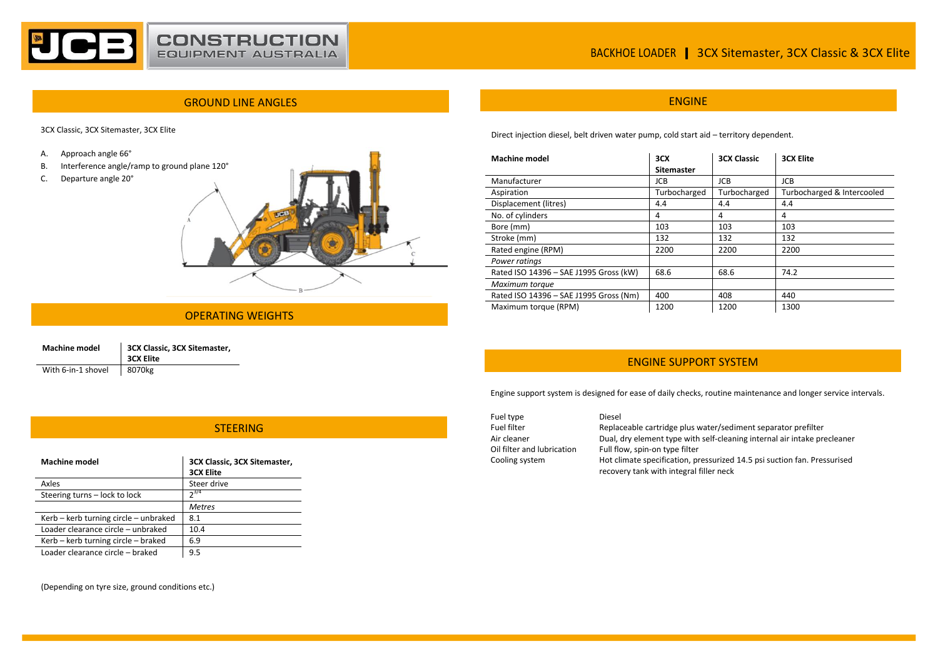

# BACKHOE LOADER | 3CX Sitemaster, 3CX Classic & 3CX Elite

## GROUND LINE ANGLES AND LOCAL CONTRACT CONTRACT ON A SERVICE OF THE CONTRACT OF THE CONTRACT OF THE CONTRACT OF

3CX Classic, 3CX Sitemaster, 3CX Elite

A. Approach angle 66°

- B. Interference angle/ramp to ground plane 120°
- C. Departure angle 20°



#### OPERATING WEIGHTS

| <b>Machine model</b> | 3CX Classic, 3CX Sitemaster,<br><b>3CX Elite</b> |
|----------------------|--------------------------------------------------|
| With 6-in-1 shovel   | 8070kg                                           |

Direct injection diesel, belt driven water pump, cold start aid – territory dependent.

| <b>Machine model</b>                   | 3CX          | <b>3CX Classic</b> | <b>3CX Elite</b>           |
|----------------------------------------|--------------|--------------------|----------------------------|
|                                        | Sitemaster   |                    |                            |
| Manufacturer                           | JCB.         | <b>JCB</b>         | <b>JCB</b>                 |
| Aspiration                             | Turbocharged | Turbocharged       | Turbocharged & Intercooled |
| Displacement (litres)                  | 4.4          | 4.4                | 4.4                        |
| No. of cylinders                       | 4            | 4                  | 4                          |
| Bore (mm)                              | 103          | 103                | 103                        |
| Stroke (mm)                            | 132          | 132                | 132                        |
| Rated engine (RPM)                     | 2200         | 2200               | 2200                       |
| Power ratings                          |              |                    |                            |
| Rated ISO 14396 - SAE J1995 Gross (kW) | 68.6         | 68.6               | 74.2                       |
| Maximum torque                         |              |                    |                            |
| Rated ISO 14396 - SAE J1995 Gross (Nm) | 400          | 408                | 440                        |
| Maximum torque (RPM)                   | 1200         | 1200               | 1300                       |

## ENGINE SUPPORT SYSTEM

Engine support system is designed for ease of daily checks, routine maintenance and longer service intervals.

| Fuel type                  | Diesel                                                                   |
|----------------------------|--------------------------------------------------------------------------|
| Fuel filter                | Replaceable cartridge plus water/sediment separator prefilter            |
| Air cleaner                | Dual, dry element type with self-cleaning internal air intake precleaner |
| Oil filter and lubrication | Full flow, spin-on type filter                                           |
| Cooling system             | Hot climate specification, pressurized 14.5 psi suction fan. Pressurised |
|                            | recovery tank with integral filler neck                                  |

## **STEERING**

| <b>Machine model</b>                  | 3CX Classic, 3CX Sitemaster,<br><b>3CX Elite</b> |
|---------------------------------------|--------------------------------------------------|
| Axles                                 | Steer drive                                      |
| Steering turns - lock to lock         | $2^{3/4}$                                        |
|                                       | <b>Metres</b>                                    |
| Kerb - kerb turning circle - unbraked | 8.1                                              |
| Loader clearance circle - unbraked    | 10.4                                             |
| Kerb - kerb turning circle - braked   | 6.9                                              |
| Loader clearance circle - braked      | 9.5                                              |

(Depending on tyre size, ground conditions etc.)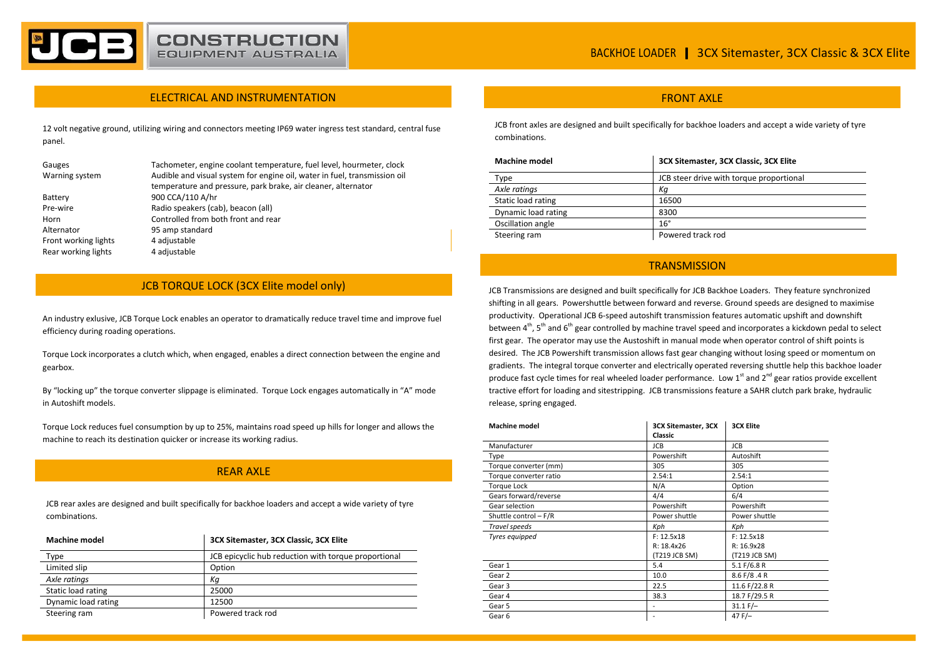#### ELECTRICAL AND INSTRUMENTATION

12 volt negative ground, utilizing wiring and connectors meeting IP69 water ingress test standard, central fuse panel.

| Gauges               | Tachometer, engine coolant temperature, fuel level, hourmeter, clock      |
|----------------------|---------------------------------------------------------------------------|
| Warning system       | Audible and visual system for engine oil, water in fuel, transmission oil |
|                      | temperature and pressure, park brake, air cleaner, alternator             |
| Battery              | 900 CCA/110 A/hr                                                          |
| Pre-wire             | Radio speakers (cab), beacon (all)                                        |
| Horn                 | Controlled from both front and rear                                       |
| Alternator           | 95 amp standard                                                           |
| Front working lights | 4 adjustable                                                              |
| Rear working lights  | 4 adjustable                                                              |
|                      |                                                                           |

### JCB TORQUE LOCK (3CX Elite model only)

An industry exlusive, JCB Torque Lock enables an operator to dramatically reduce travel time and improve fuel efficiency during roading operations.

Torque Lock incorporates a clutch which, when engaged, enables a direct connection between the engine and gearbox.

By "locking up" the torque converter slippage is eliminated. Torque Lock engages automatically in "A" mode in Autoshift models.

Torque Lock reduces fuel consumption by up to 25%, maintains road speed up hills for longer and allows the machine to reach its destination quicker or increase its working radius.

### REAR AXLE

JCB rear axles are designed and built specifically for backhoe loaders and accept a wide variety of tyre combinations.

| <b>Machine model</b> | 3CX Sitemaster, 3CX Classic, 3CX Elite               |
|----------------------|------------------------------------------------------|
| Type                 | JCB epicyclic hub reduction with torque proportional |
| Limited slip         | Option                                               |
| Axle ratings         | Кa                                                   |
| Static load rating   | 25000                                                |
| Dynamic load rating  | 12500                                                |
| Steering ram         | Powered track rod                                    |

#### **FRONT AXI F**

JCB front axles are designed and built specifically for backhoe loaders and accept a wide variety of tyre combinations.

| <b>Machine model</b> | 3CX Sitemaster, 3CX Classic, 3CX Elite   |
|----------------------|------------------------------------------|
| Type                 | JCB steer drive with torque proportional |
| Axle ratings         | Кa                                       |
| Static load rating   | 16500                                    |
| Dynamic load rating  | 8300                                     |
| Oscillation angle    | $16^{\circ}$                             |
| Steering ram         | Powered track rod                        |

#### **TRANSMISSION**

JCB Transmissions are designed and built specifically for JCB Backhoe Loaders. They feature synchronized shifting in all gears. Powershuttle between forward and reverse. Ground speeds are designed to maximise productivity. Operational JCB 6-speed autoshift transmission features automatic upshift and downshift between 4th, 5<sup>th</sup> and 6<sup>th</sup> gear controlled by machine travel speed and incorporates a kickdown pedal to select first gear. The operator may use the Austoshift in manual mode when operator control of shift points is desired. The JCB Powershift transmission allows fast gear changing without losing speed or momentum on gradients. The integral torque converter and electrically operated reversing shuttle help this backhoe loader produce fast cycle times for real wheeled loader performance. Low  $1<sup>st</sup>$  and  $2<sup>nd</sup>$  gear ratios provide excellent tractive effort for loading and sitestripping. JCB transmissions feature a SAHR clutch park brake, hydraulic release, spring engaged.

| <b>Machine model</b>   | <b>3CX Sitemaster, 3CX</b> | <b>3CX Elite</b> |
|------------------------|----------------------------|------------------|
|                        | Classic                    |                  |
| Manufacturer           | <b>JCB</b>                 | <b>JCB</b>       |
| Type                   | Powershift                 | Autoshift        |
| Torque converter (mm)  | 305                        | 305              |
| Torque converter ratio | 2.54:1                     | 2.54:1           |
| <b>Torque Lock</b>     | N/A                        | Option           |
| Gears forward/reverse  | 4/4                        | 6/4              |
| Gear selection         | Powershift                 | Powershift       |
| Shuttle control - F/R  | Power shuttle              | Power shuttle    |
| Travel speeds          | Kph                        | Kph              |
| Tyres equipped         | F: 12.5x18                 | F: 12.5x18       |
|                        | R: 18.4x26                 | R: 16.9x28       |
|                        | (T219 JCB SM)              | (T219 JCB SM)    |
| Gear 1                 | 5.4                        | 5.1 F/6.8 R      |
| Gear 2                 | 10.0                       | 8.6 F/8.4 R      |
| Gear 3                 | 22.5                       | 11.6 F/22.8 R    |
| Gear 4                 | 38.3                       | 18.7 F/29.5 R    |
| Gear 5                 |                            | $31.1 F/-$       |
| Gear <sub>6</sub>      | $\overline{\phantom{a}}$   | 47 $F$ /-        |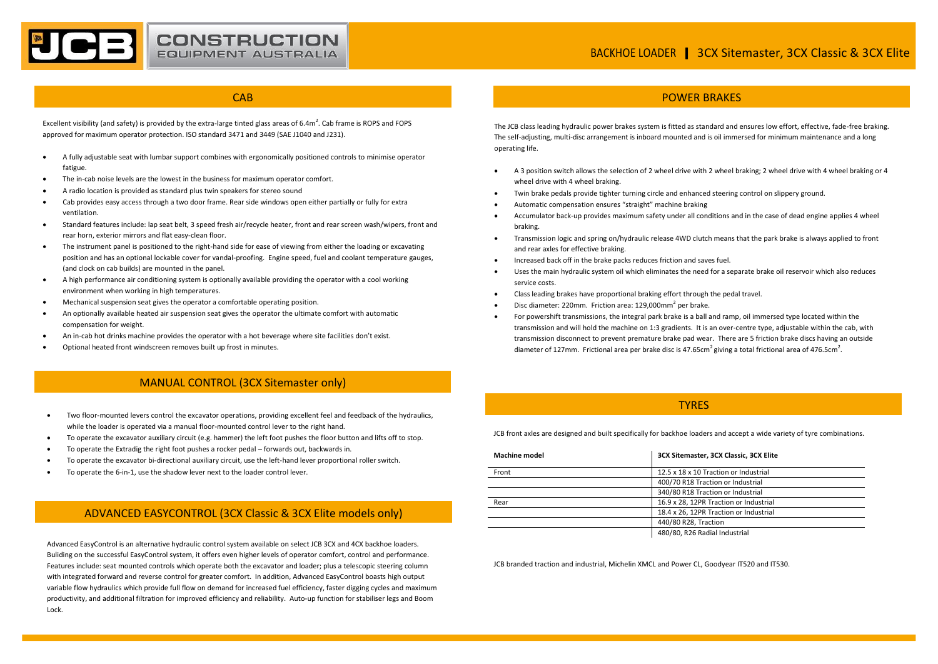#### **CAB**

**CONSTRUCTION**<br>EQUIPMENT AUSTRALIA

Excellent visibility (and safety) is provided by the extra-large tinted glass areas of  $6.4m^2$ . Cab frame is ROPS and FOPS approved for maximum operator protection. ISO standard 3471 and 3449 (SAE J1040 and J231).

- A fully adjustable seat with lumbar support combines with ergonomically positioned controls to minimise operator fatigue.
- The in-cab noise levels are the lowest in the business for maximum operator comfort.
- A radio location is provided as standard plus twin speakers for stereo sound
- Cab provides easy access through a two door frame. Rear side windows open either partially or fully for extra ventilation.
- Standard features include: lap seat belt, 3 speed fresh air/recycle heater, front and rear screen wash/wipers, front and rear horn, exterior mirrors and flat easy-clean floor.
- The instrument panel is positioned to the right-hand side for ease of viewing from either the loading or excavating position and has an optional lockable cover for vandal-proofing. Engine speed, fuel and coolant temperature gauges, (and clock on cab builds) are mounted in the panel.
- A high performance air conditioning system is optionally available providing the operator with a cool working environment when working in high temperatures.
- Mechanical suspension seat gives the operator a comfortable operating position.
- An optionally available heated air suspension seat gives the operator the ultimate comfort with automatic compensation for weight.
- An in-cab hot drinks machine provides the operator with a hot beverage where site facilities don't exist.
- Optional heated front windscreen removes built up frost in minutes.

## MANUAL CONTROL (3CX Sitemaster only)

- Two floor-mounted levers control the excavator operations, providing excellent feel and feedback of the hydraulics, while the loader is operated via a manual floor-mounted control lever to the right hand.
- To operate the excavator auxiliary circuit (e.g. hammer) the left foot pushes the floor button and lifts off to stop.
- To operate the Extradig the right foot pushes a rocker pedal forwards out, backwards in.
- To operate the excavator bi-directional auxiliary circuit, use the left-hand lever proportional roller switch.
- To operate the 6-in-1, use the shadow lever next to the loader control lever.

## ADVANCED EASYCONTROL (3CX Classic & 3CX Elite models only)

Advanced EasyControl is an alternative hydraulic control system available on select JCB 3CX and 4CX backhoe loaders. Buliding on the successful EasyControl system, it offers even higher levels of operator comfort, control and performance. Features include: seat mounted controls which operate both the excavator and loader; plus a telescopic steering column with integrated forward and reverse control for greater comfort. In addition, Advanced EasyControl boasts high output variable flow hydraulics which provide full flow on demand for increased fuel efficiency, faster digging cycles and maximum productivity, and additional filtration for improved efficiency and reliability. Auto-up function for stabiliser legs and Boom Lock.

#### POWER BRAKES

The JCB class leading hydraulic power brakes system is fitted as standard and ensures low effort, effective, fade-free braking. The self-adjusting, multi-disc arrangement is inboard mounted and is oil immersed for minimum maintenance and a long operating life.

- A 3 position switch allows the selection of 2 wheel drive with 2 wheel braking; 2 wheel drive with 4 wheel braking or 4 wheel drive with 4 wheel braking.
- Twin brake pedals provide tighter turning circle and enhanced steering control on slippery ground.
- Automatic compensation ensures "straight" machine braking
- Accumulator back-up provides maximum safety under all conditions and in the case of dead engine applies 4 wheel braking.
- Transmission logic and spring on/hydraulic release 4WD clutch means that the park brake is always applied to front and rear axles for effective braking.
- Increased back off in the brake packs reduces friction and saves fuel.
- Uses the main hydraulic system oil which eliminates the need for a separate brake oil reservoir which also reduces service costs.
- Class leading brakes have proportional braking effort through the pedal travel.
- $\bullet$  Disc diameter: 220mm. Friction area: 129,000mm<sup>2</sup> per brake.
- For powershift transmissions, the integral park brake is a ball and ramp, oil immersed type located within the transmission and will hold the machine on 1:3 gradients. It is an over-centre type, adjustable within the cab, with transmission disconnect to prevent premature brake pad wear. There are 5 friction brake discs having an outside diameter of 127mm. Frictional area per brake disc is 47.65cm<sup>2</sup> giving a total frictional area of 476.5cm<sup>2</sup>.

#### **TYRES**

JCB front axles are designed and built specifically for backhoe loaders and accept a wide variety of tyre combinations.

| <b>Machine model</b> | 3CX Sitemaster, 3CX Classic, 3CX Elite |
|----------------------|----------------------------------------|
| Front                | 12.5 x 18 x 10 Traction or Industrial  |
|                      | 400/70 R18 Traction or Industrial      |
|                      | 340/80 R18 Traction or Industrial      |
| Rear                 | 16.9 x 28, 12PR Traction or Industrial |
|                      | 18.4 x 26, 12PR Traction or Industrial |
|                      | 440/80 R28, Traction                   |
|                      | 480/80, R26 Radial Industrial          |

JCB branded traction and industrial, Michelin XMCL and Power CL, Goodyear IT520 and IT530.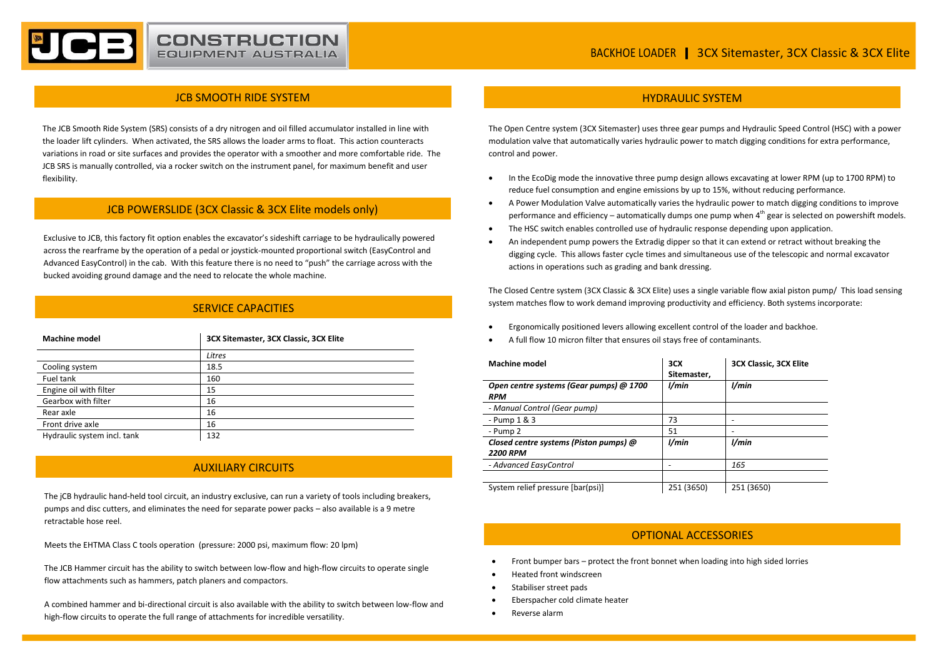#### JCB SMOOTH RIDE SYSTEM

**CONSTRUCTION EQUIPMENT AUSTRALIA** 

The JCB Smooth Ride System (SRS) consists of a dry nitrogen and oil filled accumulator installed in line with the loader lift cylinders. When activated, the SRS allows the loader arms to float. This action counteracts variations in road or site surfaces and provides the operator with a smoother and more comfortable ride. The JCB SRS is manually controlled, via a rocker switch on the instrument panel, for maximum benefit and user flexibility.

#### JCB POWERSLIDE (3CX Classic & 3CX Elite models only)

Exclusive to JCB, this factory fit option enables the excavator's sideshift carriage to be hydraulically powered across the rearframe by the operation of a pedal or joystick-mounted proportional switch (EasyControl and Advanced EasyControl) in the cab. With this feature there is no need to "push" the carriage across with the bucked avoiding ground damage and the need to relocate the whole machine.

#### SERVICE CAPACITIES

| <b>Machine model</b>        | 3CX Sitemaster, 3CX Classic, 3CX Elite |
|-----------------------------|----------------------------------------|
|                             | Litres                                 |
| Cooling system              | 18.5                                   |
| Fuel tank                   | 160                                    |
| Engine oil with filter      | 15                                     |
| Gearbox with filter         | 16                                     |
| Rear axle                   | 16                                     |
| Front drive axle            | 16                                     |
| Hydraulic system incl. tank | 132                                    |

## AUXILIARY CIRCUITS

The jCB hydraulic hand-held tool circuit, an industry exclusive, can run a variety of tools including breakers, pumps and disc cutters, and eliminates the need for separate power packs – also available is a 9 metre retractable hose reel.

Meets the EHTMA Class C tools operation (pressure: 2000 psi, maximum flow: 20 lpm)

The JCB Hammer circuit has the ability to switch between low-flow and high-flow circuits to operate single flow attachments such as hammers, patch planers and compactors.

A combined hammer and bi-directional circuit is also available with the ability to switch between low-flow and high-flow circuits to operate the full range of attachments for incredible versatility.

### HYDRAULIC SYSTEM

The Open Centre system (3CX Sitemaster) uses three gear pumps and Hydraulic Speed Control (HSC) with a power modulation valve that automatically varies hydraulic power to match digging conditions for extra performance, control and power.

- In the EcoDig mode the innovative three pump design allows excavating at lower RPM (up to 1700 RPM) to reduce fuel consumption and engine emissions by up to 15%, without reducing performance.
- A Power Modulation Valve automatically varies the hydraulic power to match digging conditions to improve performance and efficiency – automatically dumps one pump when  $4<sup>th</sup>$  gear is selected on powershift models.
- The HSC switch enables controlled use of hydraulic response depending upon application.
- An independent pump powers the Extradig dipper so that it can extend or retract without breaking the digging cycle. This allows faster cycle times and simultaneous use of the telescopic and normal excavator actions in operations such as grading and bank dressing.

The Closed Centre system (3CX Classic & 3CX Elite) uses a single variable flow axial piston pump/ This load sensing system matches flow to work demand improving productivity and efficiency. Both systems incorporate:

- Ergonomically positioned levers allowing excellent control of the loader and backhoe.
- A full flow 10 micron filter that ensures oil stays free of contaminants.

| <b>Machine model</b>                                      | 3CX<br>Sitemaster. | <b>3CX Classic, 3CX Elite</b> |
|-----------------------------------------------------------|--------------------|-------------------------------|
| Open centre systems (Gear pumps) @ 1700<br><b>RPM</b>     | l/min              | l/min                         |
| - Manual Control (Gear pump)                              |                    |                               |
| - Pump $1 & 3$                                            | 73                 |                               |
| - Pump 2                                                  | 51                 |                               |
| Closed centre systems (Piston pumps) @<br><b>2200 RPM</b> | l/min              | l/min                         |
| - Advanced EasyControl                                    |                    | 165                           |
|                                                           |                    |                               |
| System relief pressure [bar(psi)]                         | 251 (3650)         | 251 (3650)                    |

#### OPTIONAL ACCESSORIES

- Front bumper bars protect the front bonnet when loading into high sided lorries
- Heated front windscreen
- Stabiliser street pads
- Eberspacher cold climate heater
- Reverse alarm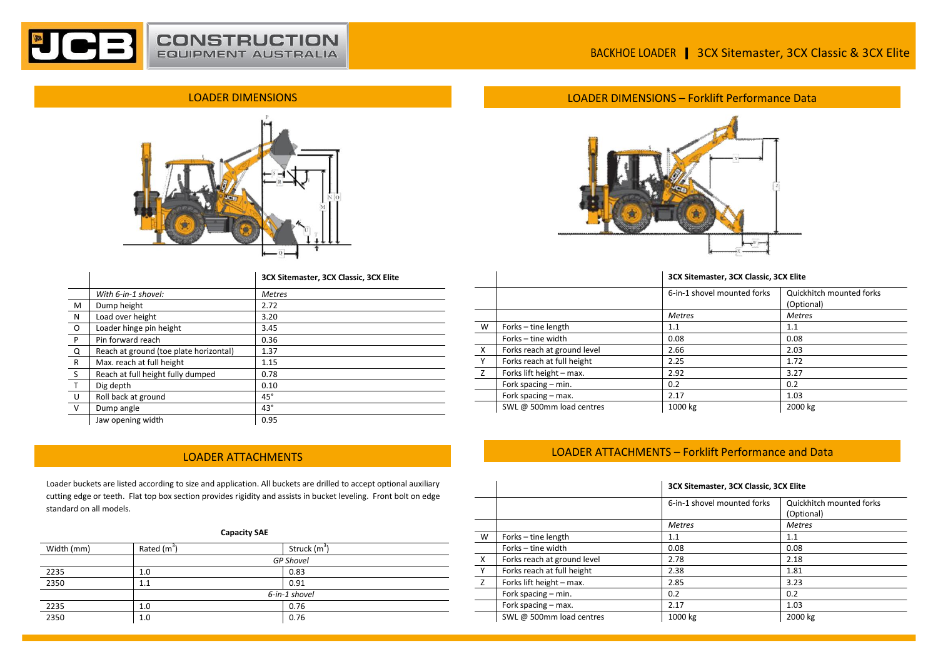# BACKHOE LOADER | 3CX Sitemaster, 3CX Classic & 3CX Elite

## LOADER DIMENSIONS



|              |                                        | 3CX Sitemaster, 3CX Classic, 3CX Elite |
|--------------|----------------------------------------|----------------------------------------|
|              | With 6-in-1 shovel:                    | <b>Metres</b>                          |
| M            | Dump height                            | 2.72                                   |
| N            | Load over height                       | 3.20                                   |
| O            | Loader hinge pin height                | 3.45                                   |
| P            | Pin forward reach                      | 0.36                                   |
| Q            | Reach at ground (toe plate horizontal) | 1.37                                   |
| $\mathsf{R}$ | Max. reach at full height              | 1.15                                   |
| <sub>S</sub> | Reach at full height fully dumped      | 0.78                                   |
| $\mathsf{T}$ | Dig depth                              | 0.10                                   |
| U            | Roll back at ground                    | $45^{\circ}$                           |
| $\vee$       | Dump angle                             | $43^\circ$                             |
|              | Jaw opening width                      | 0.95                                   |

Loader buckets are listed according to size and application. All buckets are drilled to accept optional auxiliary cutting edge or teeth. Flat top box section provides rigidity and assists in bucket leveling. Front bolt on edge standard on all models.

#### **Capacity SAE**

| Width (mm) | Rated (m <sup>3</sup> ) | Struck (m <sup>3</sup> ) |
|------------|-------------------------|--------------------------|
|            |                         | <b>GP Shovel</b>         |
| 2235       | 1.0                     | 0.83                     |
| 2350       | 1.1                     | 0.91                     |
|            |                         | 6-in-1 shovel            |
| 2235       | 1.0                     | 0.76                     |
| 2350       | 1.0                     | 0.76                     |

## LOADER DIMENSIONS – Forklift Performance Data



#### **3CX Sitemaster, 3CX Classic, 3CX Elite**

|          |                             | 6-in-1 shovel mounted forks | Quickhitch mounted forks<br>(Optional) |
|----------|-----------------------------|-----------------------------|----------------------------------------|
|          |                             | <b>Metres</b>               | <b>Metres</b>                          |
| W        | Forks - tine length         | 1.1                         | 1.1                                    |
|          | Forks - tine width          | 0.08                        | 0.08                                   |
| $\times$ | Forks reach at ground level | 2.66                        | 2.03                                   |
| Y        | Forks reach at full height  | 2.25                        | 1.72                                   |
| Z        | Forks lift height - max.    | 2.92                        | 3.27                                   |
|          | Fork spacing – min.         | 0.2                         | 0.2                                    |
|          | Fork spacing - max.         | 2.17                        | 1.03                                   |
|          | SWL @ 500mm load centres    | 1000 kg                     | 2000 kg                                |

# LOADER ATTACHMENTS LOADER ATTACHMENTS – Forklift Performance and Data

|          |                             |                             | 3CX Sitemaster, 3CX Classic, 3CX Elite |  |  |
|----------|-----------------------------|-----------------------------|----------------------------------------|--|--|
|          |                             | 6-in-1 shovel mounted forks | Quickhitch mounted forks<br>(Optional) |  |  |
|          |                             | <b>Metres</b>               | <b>Metres</b>                          |  |  |
| W        | Forks - tine length         | 1.1                         | 1.1                                    |  |  |
|          | Forks – tine width          | 0.08                        | 0.08                                   |  |  |
| $\times$ | Forks reach at ground level | 2.78                        | 2.18                                   |  |  |
| Y        | Forks reach at full height  | 2.38                        | 1.81                                   |  |  |
| z        | Forks lift height - max.    | 2.85                        | 3.23                                   |  |  |
|          | Fork spacing - min.         | 0.2                         | 0.2                                    |  |  |
|          | Fork spacing - max.         | 2.17                        | 1.03                                   |  |  |
|          | SWL @ 500mm load centres    | 1000 kg                     | 2000 kg                                |  |  |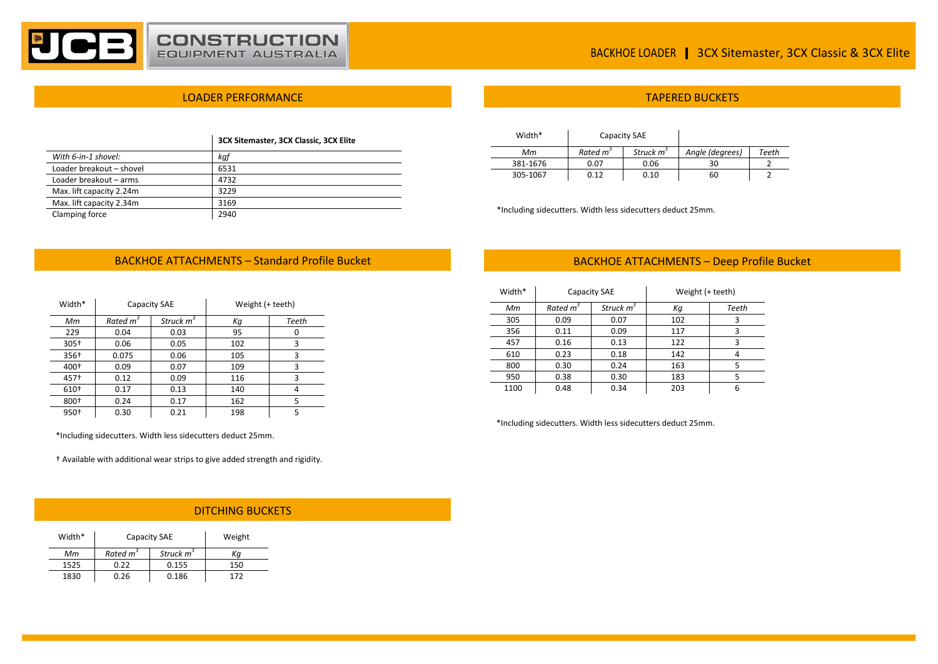

# BACKHOE LOADER | 3CX Sitemaster, 3CX Classic & 3CX Elite

#### LOADER PERFORMANCE

|                          | 3CX Sitemaster, 3CX Classic, 3CX Elite |
|--------------------------|----------------------------------------|
| With 6-in-1 shovel:      | kaf                                    |
| Loader breakout - shovel | 6531                                   |
| Loader breakout - arms   | 4732                                   |
| Max. lift capacity 2.24m | 3229                                   |
| Max. lift capacity 2.34m | 3169                                   |
| Clamping force           | 2940                                   |

| Width*   | Capacity SAE         |                       |                 |              |
|----------|----------------------|-----------------------|-----------------|--------------|
| Мm       | Rated m <sup>3</sup> | Struck m <sup>3</sup> | Angle (degrees) | <b>Teeth</b> |
| 381-1676 | 0.07                 | 0.06                  | 30              |              |
| 305-1067 | 0.12                 | 0.10                  | 60              |              |

\*Including sidecutters. Width less sidecutters deduct 25mm.

## BACKHOE ATTACHMENTS - Standard Profile Bucket

| Width*           | Capacity SAE         |                       | Weight (+ teeth) |       |
|------------------|----------------------|-----------------------|------------------|-------|
| Мm               | Rated m <sup>3</sup> | Struck m <sup>3</sup> | Κg               | Teeth |
| 229              | 0.04                 | 0.03                  | 95               |       |
| $305+$           | 0.06                 | 0.05                  | 102              | 3     |
| 356+             | 0.075                | 0.06                  | 105              | 3     |
| 400 <sup>+</sup> | 0.09                 | 0.07                  | 109              | 3     |
| 457†             | 0.12                 | 0.09                  | 116              | 3     |
| 610 <sup>+</sup> | 0.17                 | 0.13                  | 140              | 4     |
| 800+             | 0.24                 | 0.17                  | 162              | 5     |
| 950+             | 0.30                 | 0.21                  | 198              | 5     |

## BACKHOE ATTACHMENTS – Deep Profile Bucket

TAPERED BUCKETS

| Width* | Capacity SAE         |              | Weight (+ teeth) |       |
|--------|----------------------|--------------|------------------|-------|
| Мm     | Rated m <sup>3</sup> | Struck $m^3$ | Кq               | Teeth |
| 305    | 0.09                 | 0.07         | 102              |       |
| 356    | 0.11                 | 0.09         | 117              | 3     |
| 457    | 0.16                 | 0.13         | 122              | З     |
| 610    | 0.23                 | 0.18         | 142              |       |
| 800    | 0.30                 | 0.24         | 163              | 5     |
| 950    | 0.38                 | 0.30         | 183              |       |
| 1100   | 0.48                 | 0.34         | 203              |       |

\*Including sidecutters. Width less sidecutters deduct 25mm.

\*Including sidecutters. Width less sidecutters deduct 25mm.

V Dump angle 43°

† Available with additional wear strips to give added strength and rigidity.

#### DITCHING BUCKETS

| Width* | Capacity SAE         |                       | Weight |
|--------|----------------------|-----------------------|--------|
| Мm     | Rated m <sup>3</sup> | Struck m <sup>3</sup> | Кa     |
| 1525   | N. 22                | 0.155                 | 150    |
| 1830   | 0.26                 | 0.186                 | 177    |